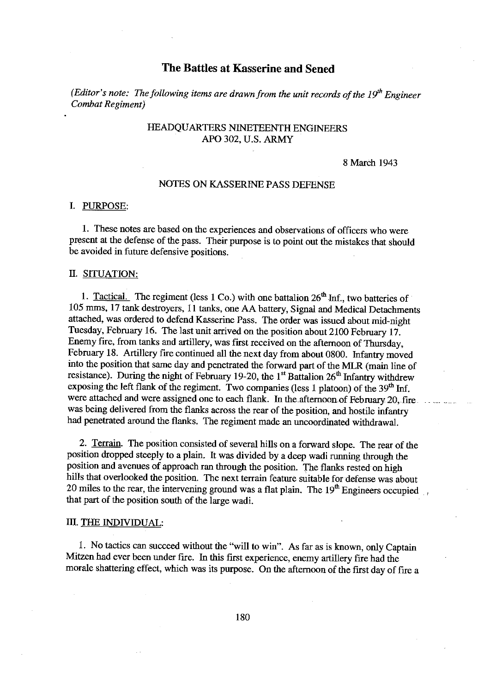## The Battles at Kasserine and Sened

(Editor's note: The following items are drawn from the unit records of the  $19<sup>th</sup>$  Engineer Combat Regiment)

# HEADQUARTERS NINETEENTH ENGINEERS APO 302, U.S. ARMY

#### 8 March 1943

## **NOTES ON KASSERINE PASS DEFENSE**

#### I. PURPOSE:

1. These notes are based on the experiences and observations of officers who were present at the defense of the pass. Their purpose is to point out the mistakes that should be avoided in future defensive positions.

## II. SITUATION:

1. Tactical. The regiment (less 1 Co.) with one battalion  $26<sup>th</sup>$  Inf., two batteries of 105 mms, 17 tank destroyers, 11 tanks, one AA battery, Signal and Medical Detachments attached, was ordered to defend Kasserine Pass. The order was issued about mid-night Tuesday, February 16. The last unit arrived on the position about 2100 February 17. Enemy fire, from tanks and artillery, was first received on the afternoon of Thursday, February 18. Artillery fire continued all the next day from about 0800. Infantry moved into the position that same day and penetrated the forward part of the MLR (main line of resistance). During the night of February 19-20, the 1<sup>st</sup> Battalion 26<sup>th</sup> Infantry withdrew exposing the left flank of the regiment. Two companies (less 1 platoon) of the 39<sup>th</sup> Inf. were attached and were assigned one to each flank. In the afternoon of February 20, fire was being delivered from the flanks across the rear of the position, and hostile infantry had penetrated around the flanks. The regiment made an uncoordinated withdrawal.

2. Terrain. The position consisted of several hills on a forward slope. The rear of the position dropped steeply to a plain. It was divided by a deep wadi running through the position and avenues of approach ran through the position. The flanks rested on high hills that overlooked the position. The next terrain feature suitable for defense was about 20 miles to the rear, the intervening ground was a flat plain. The  $19<sup>th</sup>$  Engineers occupied that part of the position south of the large wadi.

### III. THE INDIVIDUAL:

1. No tactics can succeed without the "will to win". As far as is known, only Captain Mitzen had ever been under fire. In this first experience, enemy artillery fire had the morale shattering effect, which was its purpose. On the afternoon of the first day of fire a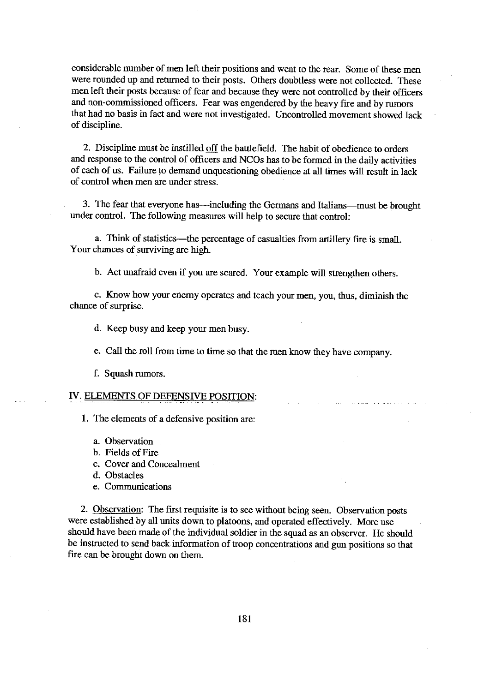considerable number of men left their positions and went to the rear. Some of these men were rounded up and returned to their posts. Others doubtless were not collected. These men left their posts because of fear and because they were not controlled by their officers and non-commissioned officers. Fear was engendered by the heavy fire and by rumors that had no basis in fact and were not investigated. Uncontrolled movement showed lack of discipline.

2. Discipline must be instilled off the battlefield. The habit of obedience to orders and response to the control of officers and NCOs has to be formed in the daily activities of each of us. Failure to demand unquestioning obedience at all times will result in lack of control when men are under stress.

3. The fear that everyone has—including the Germans and Italians—must be brought under control. The following measures will help to secure that control:

a. Think of statistics—the percentage of casualties from artillery fire is small. Your chances of surviving are high.

b. Act unafraid even if you are scared. Your example will strengthen others.

c. Know how your enemy operates and teach your men, you, thus, diminish the chance of surprise.

d. Keep busy and keep your men busy.

e. Call the roll from time to time so that the men know they have company.

f. Squash rumors.

## IV. ELEMENTS OF DEFENSIVE POSITION:

1. The elements of a defensive position are:

- a. Observation
- b. Fields of Fire
- c. Cover and Concealment
- d. Obstacles
- e. Communications

2. Observation: The first requisite is to see without being seen. Observation posts were established by all units down to platoons, and operated effectively. More use should have been made of the individual soldier in the squad as an observer. He should be instructed to send back information of troop concentrations and gun positions so that fire can be brought down on them.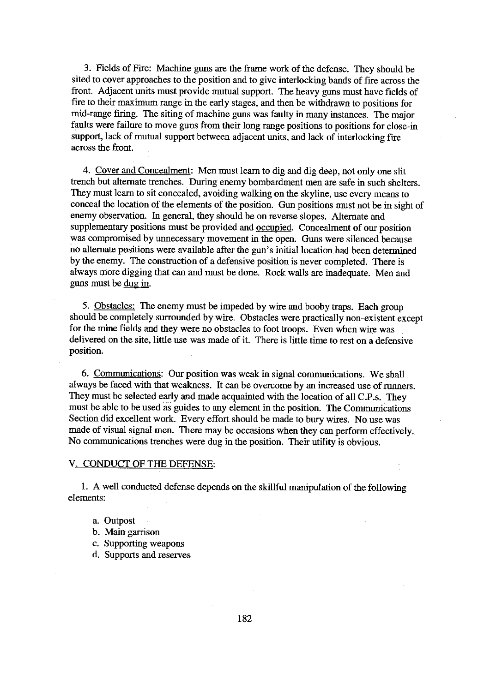3. Fields of Fire: Machine guns are the frame work of the defense. They should be sited to cover approaches to the position and to give interlocking bands of fire across the front. Adjacent units must provide mutual support. The heavy guns must have fields of fire to their maximum range in the early stages, and then be withdrawn to positions for mid-range firing. The siting of machine guns was faulty in many instances. The major faults were failure to move guns from their long range positions to positions for close-in support, lack of mutual support between adjacent units, and lack of interlocking fire across the front.

4. Cover and Concealment: Men must learn to dig and dig deep, not only one slit trench but alternate trenches. During enemy bombardment men are safe in such shelters. They must learn to sit concealed, avoiding walking on the skyline, use every means to conceal the location of the elements of the position. Gun positions must not be in sight of enemy observation. In general, they should be on reverse slopes. Alternate and supplementary positions must be provided and occupied. Concealment of our position was compromised by unnecessary movement in the open. Guns were silenced because no alternate positions were available after the gun's initial location had been determined by the enemy. The construction of a defensive position is never completed. There is always more digging that can and must be done. Rock walls are inadequate. Men and guns must be dug in.

5. Obstacles: The enemy must be impeded by wire and booby traps. Each group should be completely surrounded by wire. Obstacles were practically non-existent except for the mine fields and they were no obstacles to foot troops. Even when wire was delivered on the site, little use was made of it. There is little time to rest on a defensive position.

6. Communications: Our position was weak in signal communications. We shall always be faced with that weakness. It can be overcome by an increased use of runners. They must be selected early and made acquainted with the location of all C.P.s. They must be able to be used as guides to any element in the position. The Communications Section did excellent work. Every effort should be made to bury wires. No use was made of visual signal men. There may be occasions when they can perform effectively. No communications trenches were dug in the position. Their utility is obvious.

#### V. CONDUCT OF THE DEFENSE:

1. A well conducted defense depends on the skillful manipulation of the following elements:

- a. Outpost
- b. Main garrison
- c. Supporting weapons
- d. Supports and reserves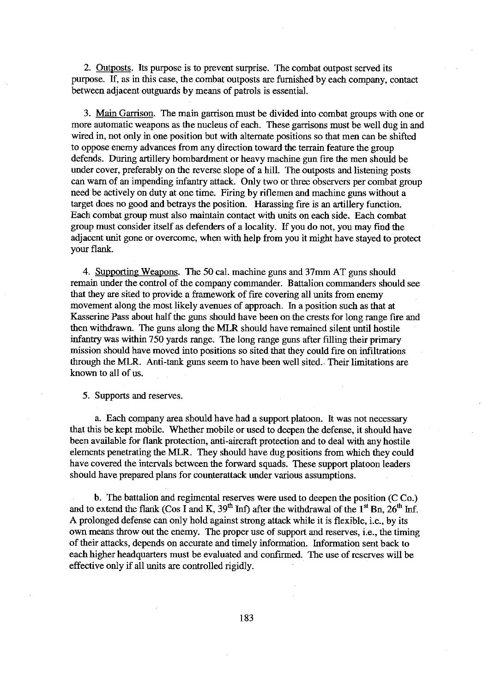2. Outposts. Its purpose is to prevent surprise. The combat outpost served its purpose. If, as in this case, the combat outposts are furnished by each company, contact between adjacent outguards by means of patrols is essential.

3. Main Garrison. The main garrison must be divided into combat groups with one or more automatic weapons as the nucleus of each. These garrisons must be well dug in and wired in, not only in one position but with alternate positions so that men can be shifted to oppose enemy advances from any direction toward the terrain feature the group defends. During artillery bombardment or heavy machine gun fire the men should be under cover, preferably on the reverse slope of a hill. The outposts and listening posts can warn of an impending infantry attack. Only two or three observers per combat group need be actively on duty at one time. Firing by riflemen and machine guns without a target does no good and betrays the position. Harassing fire is an artillery function. Each combat group must also maintain contact with units on each side. Each combat group must consider itself as defenders of a locality. If you do not, you may find the adjacent unit gone or overcome, when with help from you it might have stayed to protect your flank.

4. Supporting Weapons. The 50 cal. machine guns and 37mm AT guns should remain under the control of the company commander. Battalion commanders should see that they are sited to provide a framework of fire covering all units from enemy movement along the most likely avenues of approach. In a position such as that at Kasserine Pass about half the guns should have been on the crests for long range fire and then withdrawn. The guns along the MLR should have remained silent until hostile infantry was within 750 yards range. The long range guns after filling their primary mission should have moved into positions so sited that they could fire on infiltrations through the MLR. Anti-tank guns seem to have been well sited. Their limitations are known to all of us.

5. Supports and reserves.

a. Each company area should have had a support platoon. It was not necessary that this be kept mobile. Whether mobile or used to deepen the defense, it should have been available for flank protection, anti-aircraft protection and to deal with any hostile elements penetrating the MLR. They should have dug positions from which they could have covered the intervals between the forward squads. These support platoon leaders should have prepared plans for counterattack under various assumptions.

b. The battalion and regimental reserves were used to deepen the position (CCo.) and to extend the flank (Cos I and K,  $39<sup>th</sup>$  Inf) after the withdrawal of the 1<sup>st</sup> Bn,  $26<sup>th</sup>$  Inf. A prolonged defense can only hold against strong attack while it is flexible, i.e., by its own means throw out the enemy. The proper use of support and reserves, i.e., the timing of their attacks, depends on accurate and timely information. Information sent back to each higher headquarters must be evaluated and confirmed. The use of reserves will be effective only if all units are controlled rigidly.